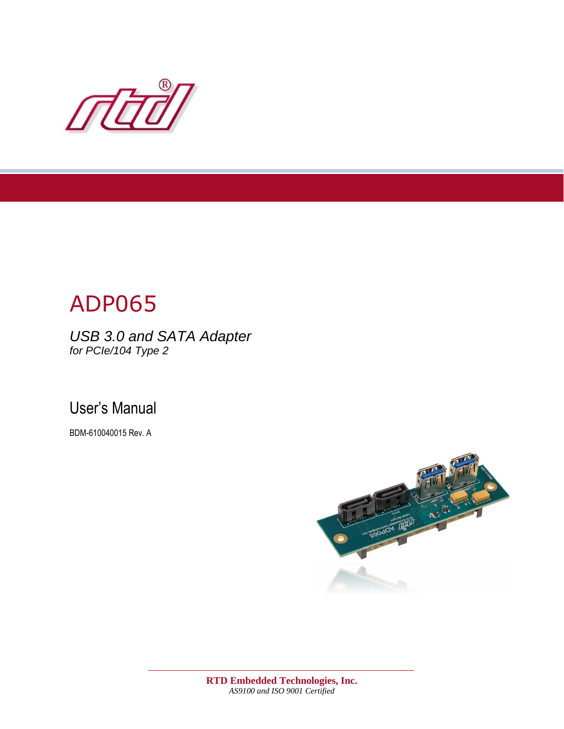

# ADP065

*USB 3.0 and SATA Adapter for PCIe/104 Type 2*

User's Manual

BDM-610040015 Rev. A

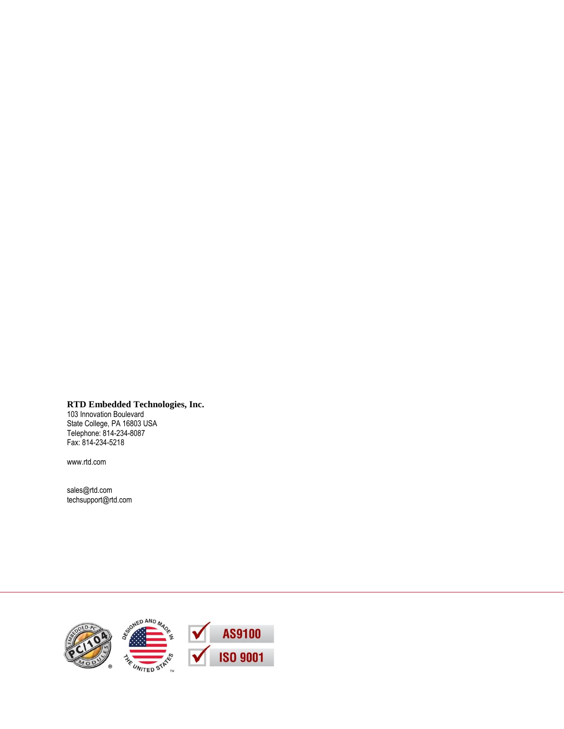**RTD Embedded Technologies, Inc.**

103 Innovation Boulevard State College, PA 16803 USA Telephone: 814-234-8087 Fax: 814-234-5218

[www.rtd.com](http://www.rtd.com/)

[sales@rtd.com](mailto:sales@rtd.com) [techsupport@rtd.com](mailto:techsupport@rtd.com)

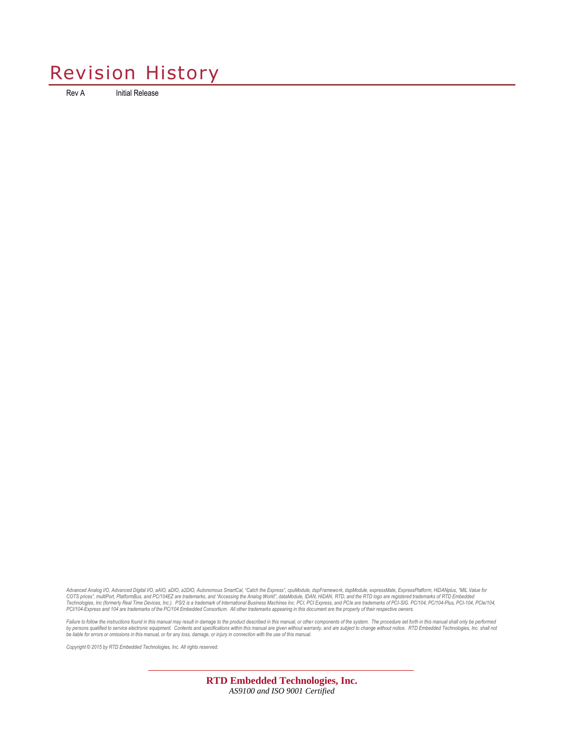## Revision History

Rev A Initial Release

Advanced Analog I/O, Advanced Digital I/O, aAIO, a2DIO, Autonomous SmarCal, "Catch the Express", cpulModule, expFramework, dspModule, expressMate, ExpressPlatform, HiDANplus, "MIL Value for<br>COTS prices", muliPort, Platform *PCI/104-Express and 104 are trademarks of the PC/104 Embedded Consortium. All other trademarks appearing in this document are the property of their respective owners.*

Failure to follow the instructions found in this manual may result in damage to the product described in this manual, or other components of the system. The procedure set forth in this manual shall only be performed<br>by las

*Copyright © 2015 by RTD Embedded Technologies, Inc. All rights reserved.*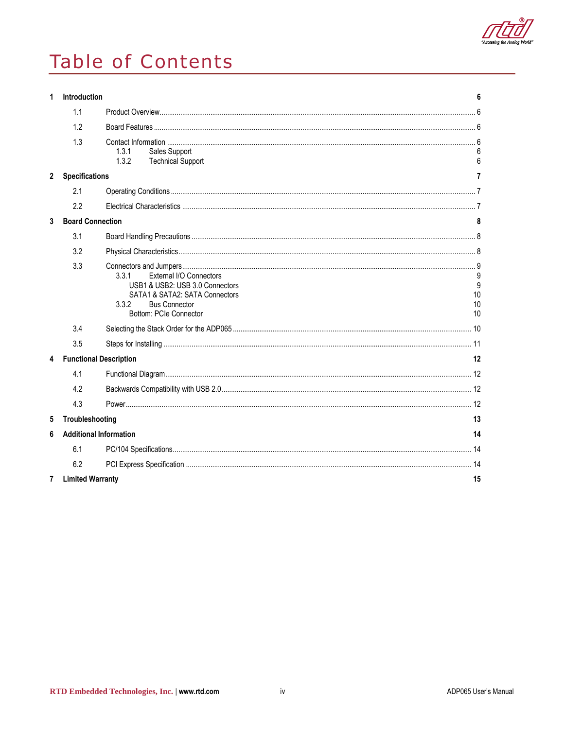

## Table of Contents

| 1              | Introduction            |                                                                                                                                                                  | 6                   |
|----------------|-------------------------|------------------------------------------------------------------------------------------------------------------------------------------------------------------|---------------------|
|                | 1.1                     |                                                                                                                                                                  |                     |
|                | 1.2                     |                                                                                                                                                                  |                     |
|                | 1.3                     | 1.3.1<br>Sales Support<br>1.3.2<br><b>Technical Support</b>                                                                                                      | 6                   |
| $\overline{2}$ | <b>Specifications</b>   |                                                                                                                                                                  | 7                   |
|                | 2.1                     |                                                                                                                                                                  |                     |
|                | 2.2                     |                                                                                                                                                                  |                     |
| 3              | <b>Board Connection</b> |                                                                                                                                                                  | 8                   |
|                | 3.1                     |                                                                                                                                                                  |                     |
|                | 3.2                     |                                                                                                                                                                  |                     |
|                | 3.3                     | 3.3.1<br>External I/O Connectors<br>USB1 & USB2: USB 3.0 Connectors<br>SATA1 & SATA2: SATA Connectors<br>3.3.2<br><b>Bus Connector</b><br>Bottom: PCIe Connector | 9<br>10<br>10<br>10 |
|                | 3.4                     |                                                                                                                                                                  |                     |
|                | 3.5                     |                                                                                                                                                                  |                     |
| 4              |                         | <b>Functional Description</b>                                                                                                                                    | 12                  |
|                | 4.1                     |                                                                                                                                                                  |                     |
|                | 4.2                     |                                                                                                                                                                  |                     |
|                | 4.3                     |                                                                                                                                                                  |                     |
| 5              | Troubleshooting         |                                                                                                                                                                  | 13                  |
| 6              |                         | <b>Additional Information</b>                                                                                                                                    | 14                  |
|                | 6.1                     |                                                                                                                                                                  |                     |
|                | 6.2                     |                                                                                                                                                                  |                     |
| 7              | <b>Limited Warranty</b> |                                                                                                                                                                  | 15                  |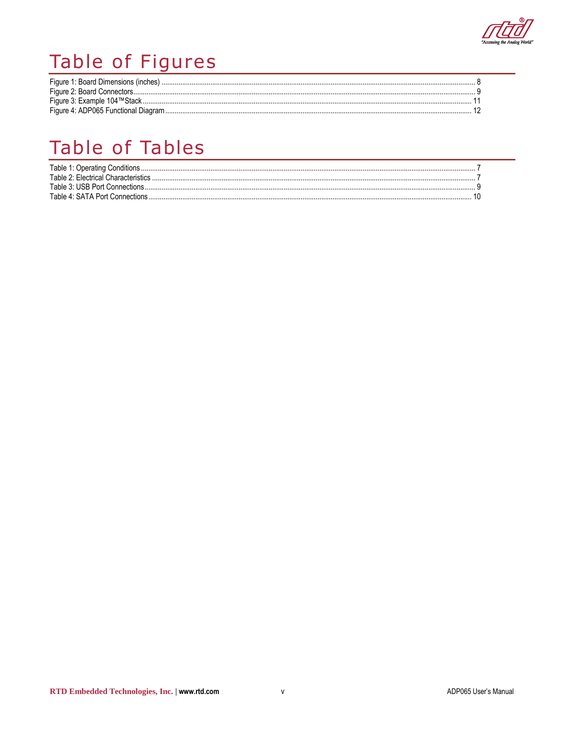

## Table of Figures

| Figure 1: Board Dimensions (inches). |  |
|--------------------------------------|--|
|                                      |  |
| Figure 3: Example 104™Stack          |  |
| Figure 4: ADP065 Functional Diagram  |  |

## Table of Tables

| Table 2: Flectrical Characteristics |  |
|-------------------------------------|--|
| Table 3: USB Port Connections       |  |
| Table 4: SATA Port Connections      |  |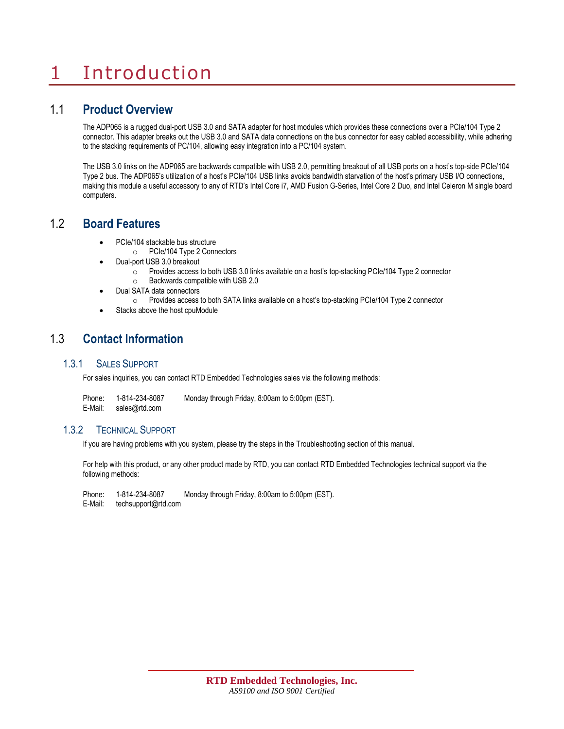## <span id="page-5-0"></span>1 Introduction

### <span id="page-5-1"></span>1.1 **Product Overview**

The ADP065 is a rugged dual-port USB 3.0 and SATA adapter for host modules which provides these connections over a PCIe/104 Type 2 connector. This adapter breaks out the USB 3.0 and SATA data connections on the bus connector for easy cabled accessibility, while adhering to the stacking requirements of PC/104, allowing easy integration into a PC/104 system.

The USB 3.0 links on the ADP065 are backwards compatible with USB 2.0, permitting breakout of all USB ports on a host's top-side PCIe/104 Type 2 bus. The ADP065's utilization of a host's PCIe/104 USB links avoids bandwidth starvation of the host's primary USB I/O connections, making this module a useful accessory to any of RTD's Intel Core i7, AMD Fusion G-Series, Intel Core 2 Duo, and Intel Celeron M single board computers.

### <span id="page-5-2"></span>1.2 **Board Features**

- PCIe/104 stackable bus structure
	- o PCIe/104 Type 2 Connectors
- Dual-port USB 3.0 breakout
	- o Provides access to both USB 3.0 links available on a host's top-stacking PCIe/104 Type 2 connector
	- o Backwards compatible with USB 2.0
- Dual SATA data connectors
	- o Provides access to both SATA links available on a host's top-stacking PCIe/104 Type 2 connector
- Stacks above the host cpuModule

### <span id="page-5-3"></span>1.3 **Contact Information**

#### <span id="page-5-4"></span>1.3.1 SALES SUPPORT

For sales inquiries, you can contact RTD Embedded Technologies sales via the following methods:

| Phone:  | 1-814-234-8087 | Monday through Friday, 8:00am to 5:00pm (EST). |
|---------|----------------|------------------------------------------------|
| E-Mail: | sales@rtd.com  |                                                |

#### <span id="page-5-5"></span>1.3.2 TECHNICAL SUPPORT

If you are having problems with you system, please try the steps in the [Troubleshooting](#page-12-0) section of this manual.

For help with this product, or any other product made by RTD, you can contact RTD Embedded Technologies technical support via the following methods:

Phone: 1-814-234-8087 Monday through Friday, 8:00am to 5:00pm (EST). E-Mail: [techsupport@rtd.com](mailto:techsupport@rtd.com)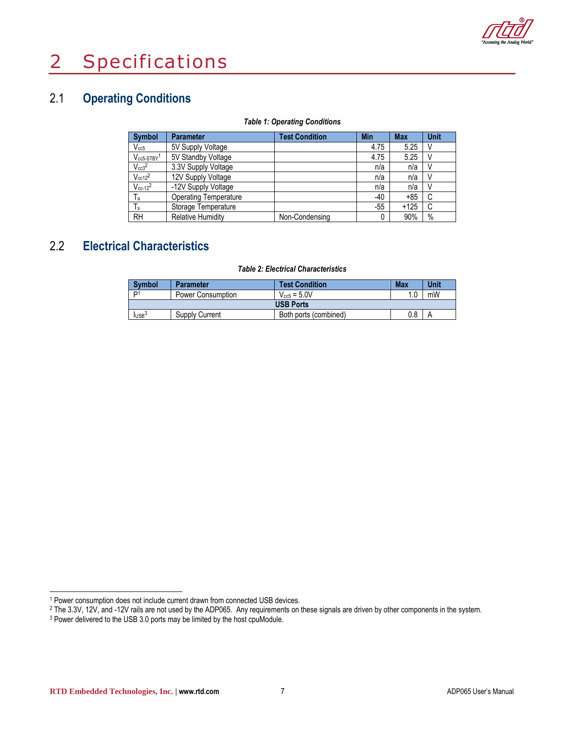

## <span id="page-6-0"></span>2 Specifications

## <span id="page-6-1"></span>2.1 **Operating Conditions**

#### *Table 1: Operating Conditions*

<span id="page-6-3"></span>

| <b>Symbol</b>               | <b>Parameter</b>             | <b>Test Condition</b> | <b>Min</b> | <b>Max</b> | <b>Unit</b> |
|-----------------------------|------------------------------|-----------------------|------------|------------|-------------|
| $V_{cc5}$                   | 5V Supply Voltage            |                       | 4.75       | 5.25       |             |
| $V_{cc5-STBY}$ <sup>1</sup> | 5V Standby Voltage           |                       | 4.75       | 5.25       |             |
| $V_{cc3}^2$                 | 3.3V Supply Voltage          |                       | n/a        | n/a        |             |
| $V_{cc12}^2$                | 12V Supply Voltage           |                       | n/a        | n/a        | V           |
| $V_{cc-12}^2$               | -12V Supply Voltage          |                       | n/a        | n/a        |             |
| $T_{\rm a}$                 | <b>Operating Temperature</b> |                       | $-40$      | +85        | C           |
| $T_s$                       | Storage Temperature          |                       | $-55$      | +125       | C           |
| <b>RH</b>                   | <b>Relative Humidity</b>     | Non-Condensing        | 0          | 90%        | $\%$        |

## <span id="page-6-2"></span>2.2 **Electrical Characteristics**

#### *Table 2: Electrical Characteristics*

<span id="page-6-4"></span>

| <b>Symbol</b>      | <b>Parameter</b>  | <b>Test Condition</b> | <b>Max</b> | Unit |  |
|--------------------|-------------------|-----------------------|------------|------|--|
| ״ם                 | Power Consumption | $V_{cc5} = 5.0V$      |            | mW   |  |
| <b>USB Ports</b>   |                   |                       |            |      |  |
| $I_{\text{USE}}^3$ | Supply Current    | Both ports (combined) | 0.8        |      |  |

1

<sup>1</sup> Power consumption does not include current drawn from connected USB devices.

<sup>&</sup>lt;sup>2</sup> The 3.3V, 12V, and -12V rails are not used by the ADP065. Any requirements on these signals are driven by other components in the system.

<sup>&</sup>lt;sup>3</sup> Power delivered to the USB 3.0 ports may be limited by the host cpuModule.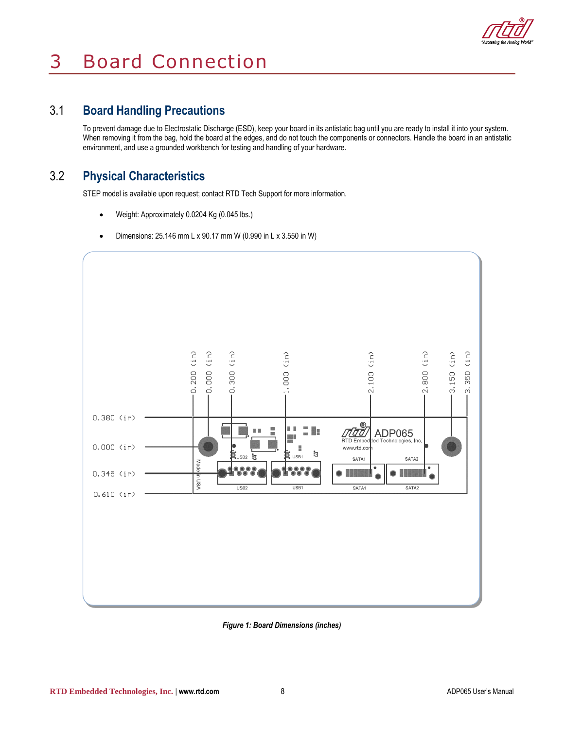

## <span id="page-7-0"></span>3 Board Connection

## <span id="page-7-1"></span>3.1 **Board Handling Precautions**

To prevent damage due to Electrostatic Discharge (ESD), keep your board in its antistatic bag until you are ready to install it into your system. When removing it from the bag, hold the board at the edges, and do not touch the components or connectors. Handle the board in an antistatic environment, and use a grounded workbench for testing and handling of your hardware.

### <span id="page-7-2"></span>3.2 **Physical Characteristics**

STEP model is available upon request; contact RTD Tech Support for more information.

- Weight: Approximately 0.0204 Kg (0.045 lbs.)
- Dimensions:  $25.146$  mm L x 90.17 mm W (0.990 in L x 3.550 in W)



<span id="page-7-3"></span>*Figure 1: Board Dimensions (inches)*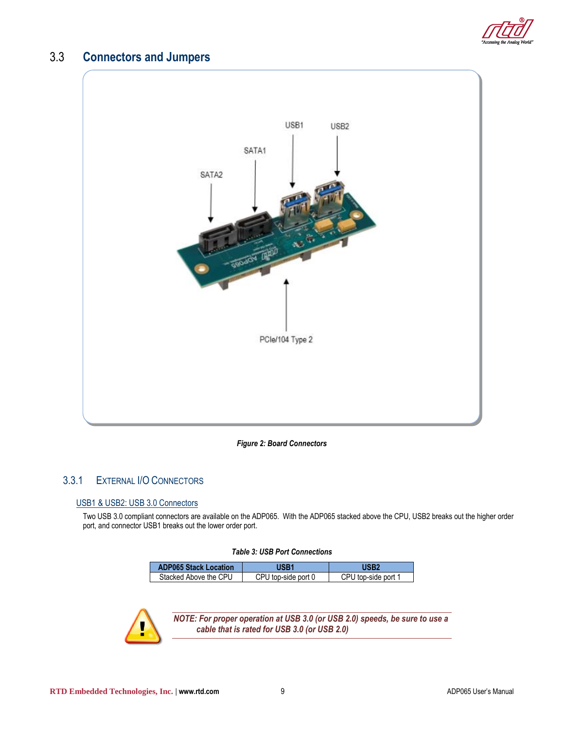

### <span id="page-8-0"></span>3.3 **Connectors and Jumpers**



#### *Figure 2: Board Connectors*

#### <span id="page-8-3"></span><span id="page-8-2"></span><span id="page-8-1"></span>3.3.1 EXTERNAL I/O CONNECTORS

#### USB1 & USB2: USB 3.0 Connectors

Two USB 3.0 compliant connectors are available on the ADP065. With the ADP065 stacked above the CPU, USB2 breaks out the higher order port, and connector USB1 breaks out the lower order port.

#### *Table 3: USB Port Connections*

<span id="page-8-4"></span>

| <b>ADP065 Stack Location</b> | <b>JSB1</b>         | USB2                |
|------------------------------|---------------------|---------------------|
| Stacked Above the CPU        | CPU top-side port 0 | CPU top-side port 1 |



*NOTE: For proper operation at USB 3.0 (or USB 2.0) speeds, be sure to use a cable that is rated for USB 3.0 (or USB 2.0)*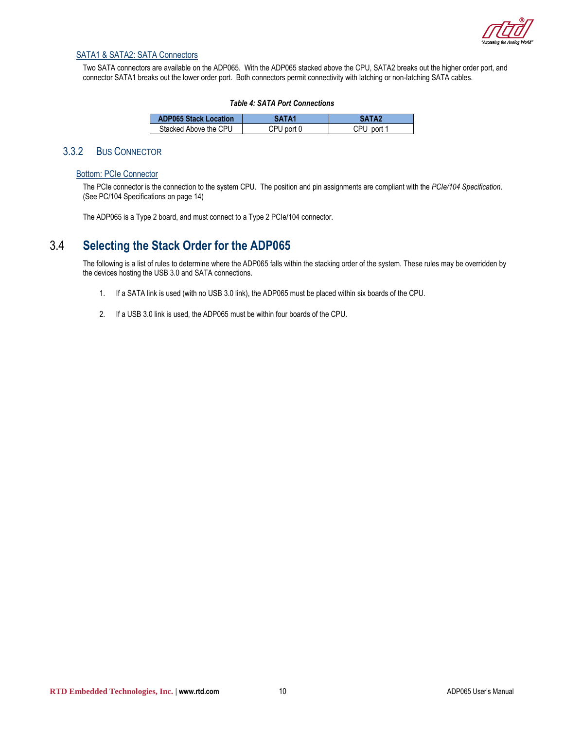

#### <span id="page-9-0"></span>SATA1 & SATA2: SATA Connectors

Two SATA connectors are available on the ADP065. With the ADP065 stacked above the CPU, SATA2 breaks out the higher order port, and connector SATA1 breaks out the lower order port. Both connectors permit connectivity with latching or non-latching SATA cables.

#### *Table 4: SATA Port Connections*

<span id="page-9-4"></span>

| <b>ADP065 Stack Location</b> | SATA1      | SATA2      |
|------------------------------|------------|------------|
| Stacked Above the CPU        | CPU port 0 | CPU port 1 |

#### <span id="page-9-2"></span><span id="page-9-1"></span>3.3.2 BUS CONNECTOR

#### Bottom: PCIe Connector

The PCIe connector is the connection to the system CPU. The position and pin assignments are compliant with the *PCIe/104 Specification*. (Se[e PC/104 Specifications](#page-13-1) on pag[e 14\)](#page-13-1)

The ADP065 is a Type 2 board, and must connect to a Type 2 PCIe/104 connector.

### <span id="page-9-3"></span>3.4 **Selecting the Stack Order for the ADP065**

The following is a list of rules to determine where the ADP065 falls within the stacking order of the system. These rules may be overridden by the devices hosting the USB 3.0 and SATA connections.

- 1. If a SATA link is used (with no USB 3.0 link), the ADP065 must be placed within six boards of the CPU.
- 2. If a USB 3.0 link is used, the ADP065 must be within four boards of the CPU.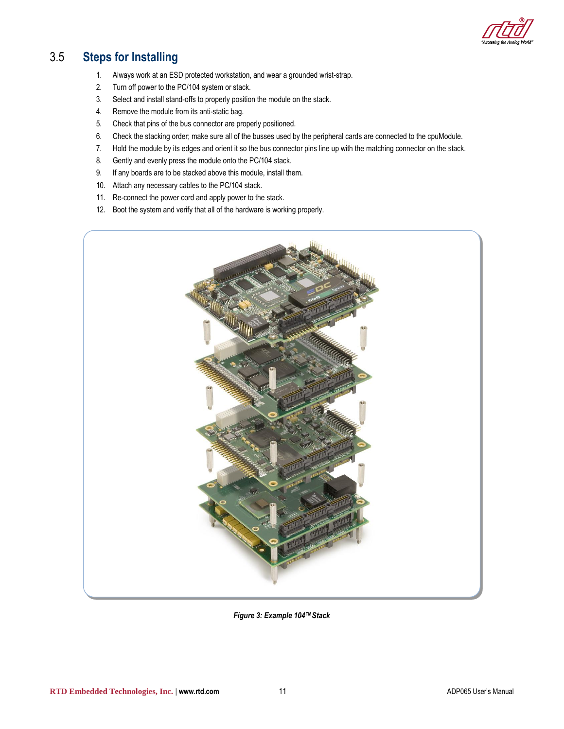

## <span id="page-10-0"></span>3.5 **Steps for Installing**

- 1. Always work at an ESD protected workstation, and wear a grounded wrist-strap.
- 2. Turn off power to the PC/104 system or stack.
- 3. Select and install stand-offs to properly position the module on the stack.
- 4. Remove the module from its anti-static bag.
- 5. Check that pins of the bus connector are properly positioned.
- 6. Check the stacking order; make sure all of the busses used by the peripheral cards are connected to the cpuModule.
- 7. Hold the module by its edges and orient it so the bus connector pins line up with the matching connector on the stack.
- 8. Gently and evenly press the module onto the PC/104 stack.
- 9. If any boards are to be stacked above this module, install them.
- 10. Attach any necessary cables to the PC/104 stack.
- 11. Re-connect the power cord and apply power to the stack.
- 12. Boot the system and verify that all of the hardware is working properly.



<span id="page-10-1"></span>*Figure 3: Example 104™Stack*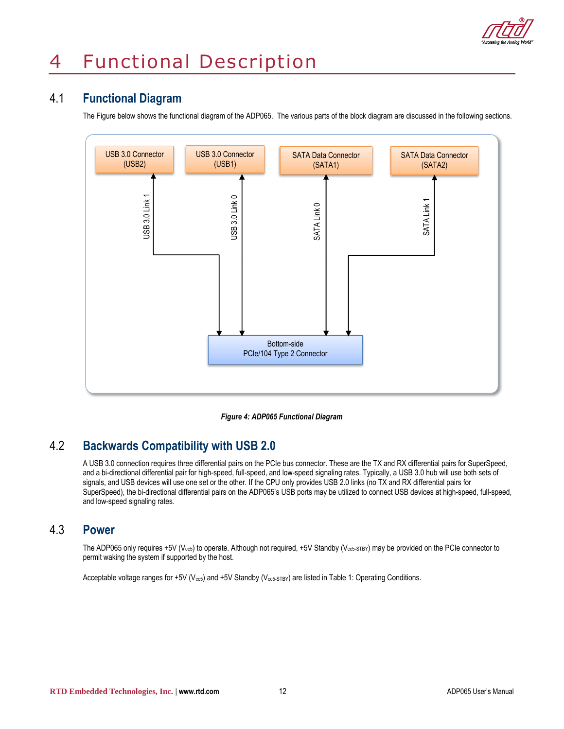

### <span id="page-11-1"></span><span id="page-11-0"></span>4.1 **Functional Diagram**

The Figure below shows the functional diagram of the ADP065. The various parts of the block diagram are discussed in the following sections.



*Figure 4: ADP065 Functional Diagram*

### <span id="page-11-4"></span><span id="page-11-2"></span>4.2 **Backwards Compatibility with USB 2.0**

A USB 3.0 connection requires three differential pairs on the PCIe bus connector. These are the TX and RX differential pairs for SuperSpeed, and a bi-directional differential pair for high-speed, full-speed, and low-speed signaling rates. Typically, a USB 3.0 hub will use both sets of signals, and USB devices will use one set or the other. If the CPU only provides USB 2.0 links (no TX and RX differential pairs for SuperSpeed), the bi-directional differential pairs on the ADP065's USB ports may be utilized to connect USB devices at high-speed, full-speed, and low-speed signaling rates.

### <span id="page-11-3"></span>4.3 **Power**

The ADP065 only requires +5V (V<sub>cc5</sub>) to operate. Although not required, +5V Standby (V<sub>cc5-STBY</sub>) may be provided on the PCIe connector to permit waking the system if supported by the host.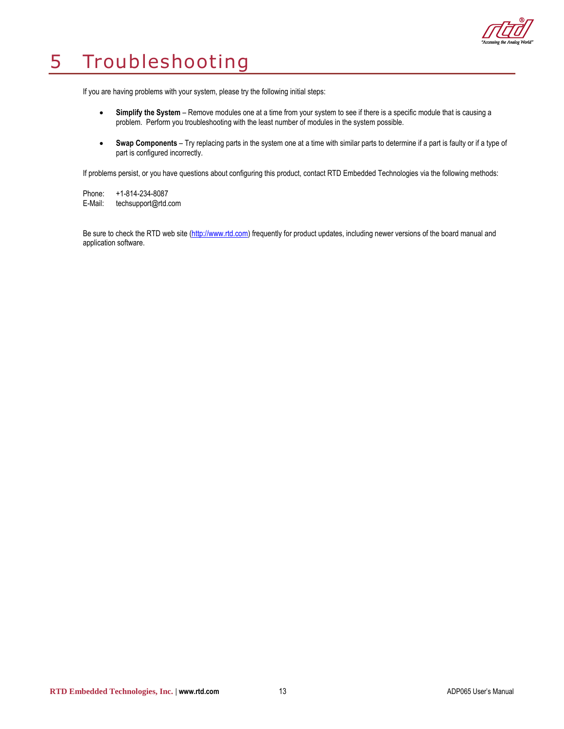

## <span id="page-12-0"></span>5 Troubleshooting

If you are having problems with your system, please try the following initial steps:

- **Simplify the System** Remove modules one at a time from your system to see if there is a specific module that is causing a problem. Perform you troubleshooting with the least number of modules in the system possible.
- **Swap Components** Try replacing parts in the system one at a time with similar parts to determine if a part is faulty or if a type of part is configured incorrectly.

If problems persist, or you have questions about configuring this product, contact RTD Embedded Technologies via the following methods:

Phone: +1-814-234-8087<br>E-Mail: techsupport@rtd.c [techsupport@rtd.com](mailto:techsupport@rtd.com)

Be sure to check the RTD web site [\(http://www.rtd.com\)](http://www.rtd.com/) frequently for product updates, including newer versions of the board manual and application software.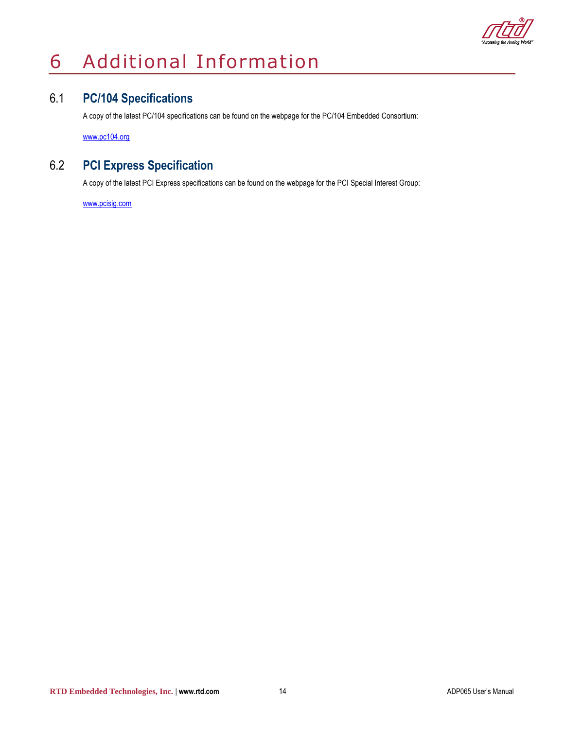

## <span id="page-13-0"></span>6 Additional Information

## <span id="page-13-1"></span>6.1 **PC/104 Specifications**

A copy of the latest PC/104 specifications can be found on the webpage for the PC/104 Embedded Consortium:

[www.pc104.org](http://www.pc104.org/)

## <span id="page-13-2"></span>6.2 **PCI Express Specification**

A copy of the latest PCI Express specifications can be found on the webpage for the PCI Special Interest Group:

[www.p](http://www./)cisig.com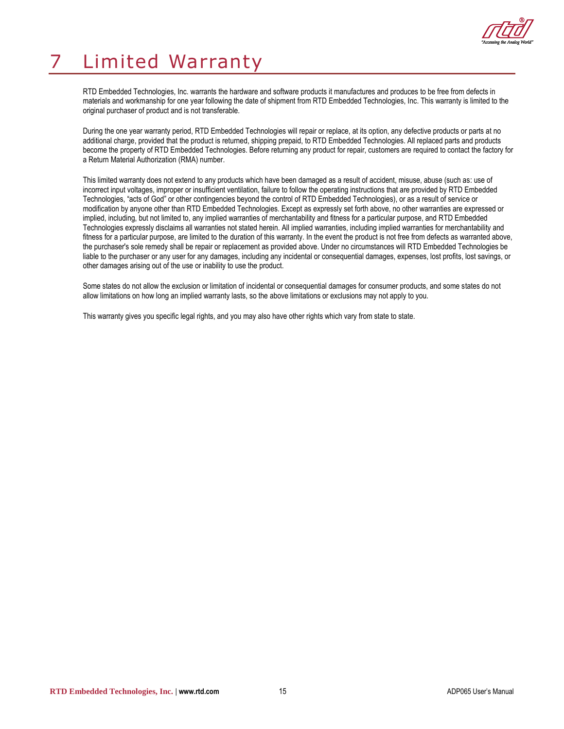

## <span id="page-14-0"></span>7 Limited Warranty

RTD Embedded Technologies, Inc. warrants the hardware and software products it manufactures and produces to be free from defects in materials and workmanship for one year following the date of shipment from RTD Embedded Technologies, Inc. This warranty is limited to the original purchaser of product and is not transferable.

During the one year warranty period, RTD Embedded Technologies will repair or replace, at its option, any defective products or parts at no additional charge, provided that the product is returned, shipping prepaid, to RTD Embedded Technologies. All replaced parts and products become the property of RTD Embedded Technologies. Before returning any product for repair, customers are required to contact the factory for a Return Material Authorization (RMA) number.

This limited warranty does not extend to any products which have been damaged as a result of accident, misuse, abuse (such as: use of incorrect input voltages, improper or insufficient ventilation, failure to follow the operating instructions that are provided by RTD Embedded Technologies, "acts of God" or other contingencies beyond the control of RTD Embedded Technologies), or as a result of service or modification by anyone other than RTD Embedded Technologies. Except as expressly set forth above, no other warranties are expressed or implied, including, but not limited to, any implied warranties of merchantability and fitness for a particular purpose, and RTD Embedded Technologies expressly disclaims all warranties not stated herein. All implied warranties, including implied warranties for merchantability and fitness for a particular purpose, are limited to the duration of this warranty. In the event the product is not free from defects as warranted above, the purchaser's sole remedy shall be repair or replacement as provided above. Under no circumstances will RTD Embedded Technologies be liable to the purchaser or any user for any damages, including any incidental or consequential damages, expenses, lost profits, lost savings, or other damages arising out of the use or inability to use the product.

Some states do not allow the exclusion or limitation of incidental or consequential damages for consumer products, and some states do not allow limitations on how long an implied warranty lasts, so the above limitations or exclusions may not apply to you.

This warranty gives you specific legal rights, and you may also have other rights which vary from state to state.